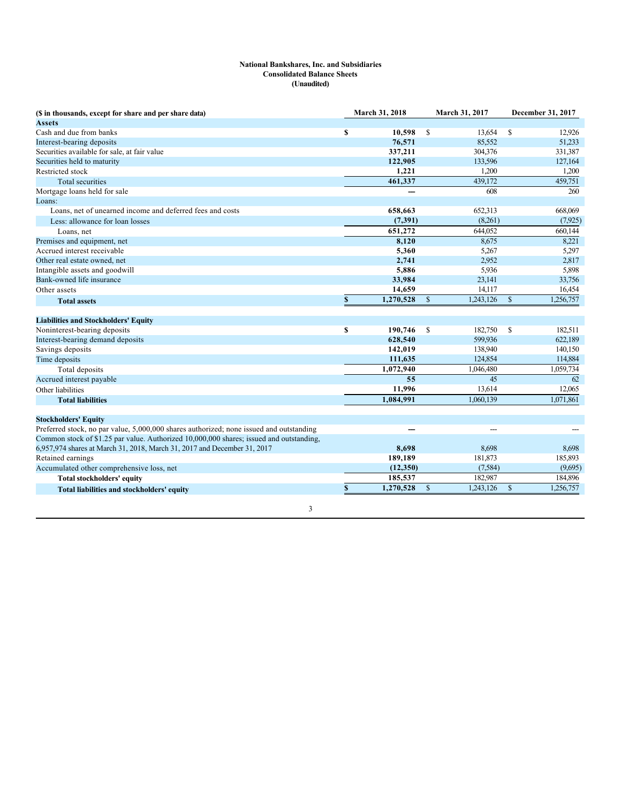## **National Bankshares, Inc. and Subsidiaries Consolidated Balance Sheets (Unaudited)**

| (\$ in thousands, except for share and per share data)                                  |             | March 31, 2018 |               | March 31, 2017 |               | December 31, 2017 |
|-----------------------------------------------------------------------------------------|-------------|----------------|---------------|----------------|---------------|-------------------|
| <b>Assets</b>                                                                           |             |                |               |                |               |                   |
| Cash and due from banks                                                                 | \$          | 10,598         | <sup>\$</sup> | 13,654         | <sup>\$</sup> | 12,926            |
| Interest-bearing deposits                                                               |             | 76,571         |               | 85,552         |               | 51,233            |
| Securities available for sale, at fair value                                            |             | 337,211        |               | 304,376        |               | 331,387           |
| Securities held to maturity                                                             |             | 122,905        |               | 133,596        |               | 127,164           |
| Restricted stock                                                                        |             | 1,221          |               | 1,200          |               | 1,200             |
| <b>Total securities</b>                                                                 |             | 461,337        |               | 439.172        |               | 459,751           |
| Mortgage loans held for sale                                                            |             |                |               | 608            |               | 260               |
| Loans:                                                                                  |             |                |               |                |               |                   |
| Loans, net of unearned income and deferred fees and costs                               |             | 658,663        |               | 652,313        |               | 668,069           |
| Less: allowance for loan losses                                                         |             | (7, 391)       |               | (8,261)        |               | (7,925)           |
| Loans, net                                                                              |             | 651,272        |               | 644,052        |               | 660,144           |
| Premises and equipment, net                                                             |             | 8,120          |               | 8,675          |               | 8,221             |
| Accrued interest receivable                                                             |             | 5,360          |               | 5,267          |               | 5,297             |
| Other real estate owned, net                                                            |             | 2,741          |               | 2.952          |               | 2,817             |
| Intangible assets and goodwill                                                          |             | 5,886          |               | 5.936          |               | 5,898             |
| Bank-owned life insurance                                                               |             | 33,984         |               | 23,141         |               | 33,756            |
| Other assets                                                                            |             | 14,659         |               | 14,117         |               | 16,454            |
| <b>Total assets</b>                                                                     | $\mathbb S$ | 1,270,528      | $\mathbf{s}$  | 1,243,126      | $\mathbb{S}$  | 1,256,757         |
| <b>Liabilities and Stockholders' Equity</b>                                             |             |                |               |                |               |                   |
| Noninterest-bearing deposits                                                            | \$          | 190,746        | -S            | 182,750        | -S            | 182,511           |
| Interest-bearing demand deposits                                                        |             | 628,540        |               | 599.936        |               | 622,189           |
| Savings deposits                                                                        |             | 142,019        |               | 138,940        |               | 140,150           |
| Time deposits                                                                           |             | 111,635        |               | 124,854        |               | 114,884           |
| Total deposits                                                                          |             | 1,072,940      |               | 1,046,480      |               | 1,059,734         |
| Accrued interest payable                                                                |             | 55             |               | 45             |               | 62                |
| Other liabilities                                                                       |             | 11,996         |               | 13,614         |               | 12,065            |
| <b>Total liabilities</b>                                                                |             | 1,084,991      |               | 1,060,139      |               | 1,071,861         |
| <b>Stockholders' Equity</b>                                                             |             |                |               |                |               |                   |
| Preferred stock, no par value, 5,000,000 shares authorized; none issued and outstanding |             |                |               | ---            |               |                   |
| Common stock of \$1.25 par value. Authorized 10,000,000 shares; issued and outstanding, |             |                |               |                |               |                   |
| 6,957,974 shares at March 31, 2018, March 31, 2017 and December 31, 2017                |             | 8,698          |               | 8,698          |               | 8,698             |
| Retained earnings                                                                       |             | 189,189        |               | 181,873        |               | 185,893           |
| Accumulated other comprehensive loss, net                                               |             | (12,350)       |               | (7,584)        |               | (9,695)           |
| Total stockholders' equity                                                              |             | 185,537        |               | 182,987        |               | 184,896           |
| Total liabilities and stockholders' equity                                              | \$          | 1,270,528      | \$            | 1,243,126      | \$            | 1,256,757         |
| 3                                                                                       |             |                |               |                |               |                   |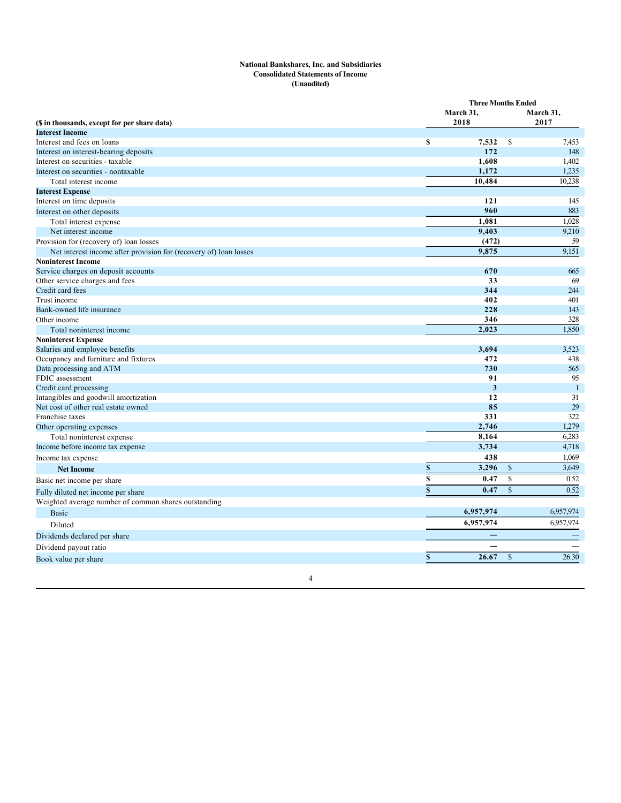#### **National Bankshares, Inc. and Subsidiaries Consolidated Statements of Income (Unaudited)**

|                                                                   |             | <b>Three Months Ended</b> |              |                |
|-------------------------------------------------------------------|-------------|---------------------------|--------------|----------------|
|                                                                   |             | March 31,                 |              | March 31,      |
| (\$ in thousands, except for per share data)                      |             | 2018                      |              | 2017           |
| <b>Interest Income</b>                                            |             |                           |              |                |
| Interest and fees on loans                                        | \$          | 7,532                     | \$           | 7,453          |
| Interest on interest-bearing deposits                             |             | 172                       |              | 148            |
| Interest on securities - taxable                                  |             | 1,608                     |              | 1,402          |
| Interest on securities - nontaxable                               |             | 1,172                     |              | 1,235          |
| Total interest income                                             |             | 10,484                    |              | 10,238         |
| <b>Interest Expense</b>                                           |             |                           |              |                |
| Interest on time deposits                                         |             | 121                       |              | 145            |
| Interest on other deposits                                        |             | 960                       |              | 883            |
| Total interest expense                                            |             | 1,081                     |              | 1,028          |
| Net interest income                                               |             | 9,403                     |              | 9,210          |
| Provision for (recovery of) loan losses                           |             | (472)                     |              | 59             |
| Net interest income after provision for (recovery of) loan losses |             | 9,875                     |              | 9,151          |
| <b>Noninterest Income</b>                                         |             |                           |              |                |
| Service charges on deposit accounts                               |             | 670                       |              | 665            |
| Other service charges and fees                                    |             | 33                        |              | 69             |
| Credit card fees                                                  |             | 344                       |              | 244            |
| Trust income                                                      |             | 402                       |              | 401            |
| Bank-owned life insurance                                         |             | 228                       |              | 143            |
| Other income                                                      |             | 346                       |              | 328            |
| Total noninterest income                                          |             | 2,023                     |              | 1,850          |
| <b>Noninterest Expense</b>                                        |             |                           |              |                |
| Salaries and employee benefits                                    |             | 3,694                     |              | 3,523          |
| Occupancy and furniture and fixtures                              |             | 472                       |              | 438            |
| Data processing and ATM                                           |             | 730                       |              | 565            |
| FDIC assessment                                                   |             | 91                        |              | 95             |
| Credit card processing                                            |             | 3                         |              | $\overline{1}$ |
| Intangibles and goodwill amortization                             |             | 12                        |              | 31             |
| Net cost of other real estate owned                               |             | 85                        |              | 29             |
| Franchise taxes                                                   |             | 331                       |              | 322            |
| Other operating expenses                                          |             | 2,746                     |              | 1,279          |
| Total noninterest expense                                         |             | 8,164                     |              | 6,283          |
| Income before income tax expense                                  |             | 3,734                     |              | 4,718          |
| Income tax expense                                                |             | 438                       |              | 1,069          |
| <b>Net Income</b>                                                 | $\mathbb S$ | 3,296                     | $\mathbb{S}$ | 3,649          |
| Basic net income per share                                        | \$          | 0.47                      | $\mathbb{S}$ | 0.52           |
| Fully diluted net income per share                                | $\mathbf S$ | 0.47                      | $\mathbf S$  | 0.52           |
| Weighted average number of common shares outstanding              |             |                           |              |                |
| <b>Basic</b>                                                      |             | 6,957,974                 |              | 6,957,974      |
| Diluted                                                           |             | 6,957,974                 |              | 6,957,974      |
|                                                                   |             |                           |              |                |
| Dividends declared per share                                      |             |                           |              |                |
| Dividend payout ratio                                             |             |                           |              | $---$          |
| Book value per share                                              | \$          | 26.67                     | $\mathbb{S}$ | 26.30          |

4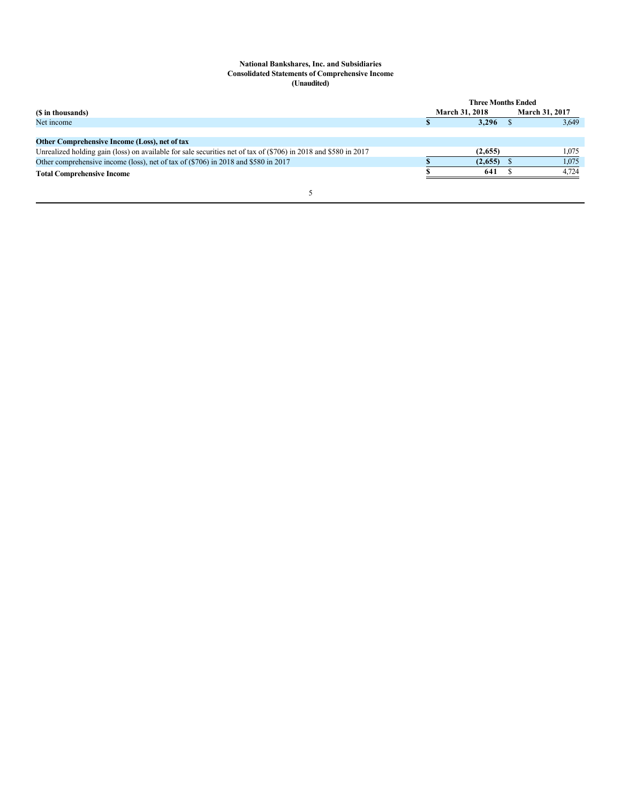#### **National Bankshares, Inc. and Subsidiaries Consolidated Statements of Comprehensive Income (Unaudited)**

|                                                                                                                   | <b>Three Months Ended</b> |                       |  |                       |  |
|-------------------------------------------------------------------------------------------------------------------|---------------------------|-----------------------|--|-----------------------|--|
| (\$ in thousands)                                                                                                 |                           | <b>March 31, 2018</b> |  | <b>March 31, 2017</b> |  |
| Net income                                                                                                        |                           | 3,296                 |  | 3,649                 |  |
|                                                                                                                   |                           |                       |  |                       |  |
| Other Comprehensive Income (Loss), net of tax                                                                     |                           |                       |  |                       |  |
| Unrealized holding gain (loss) on available for sale securities net of tax of $(\$706)$ in 2018 and \$580 in 2017 |                           | (2,655)               |  | 1.075                 |  |
| Other comprehensive income (loss), net of tax of (\$706) in 2018 and \$580 in 2017                                |                           | (2,655)               |  | 1,075                 |  |
| <b>Total Comprehensive Income</b>                                                                                 |                           | 641                   |  | 4.724                 |  |
|                                                                                                                   |                           |                       |  |                       |  |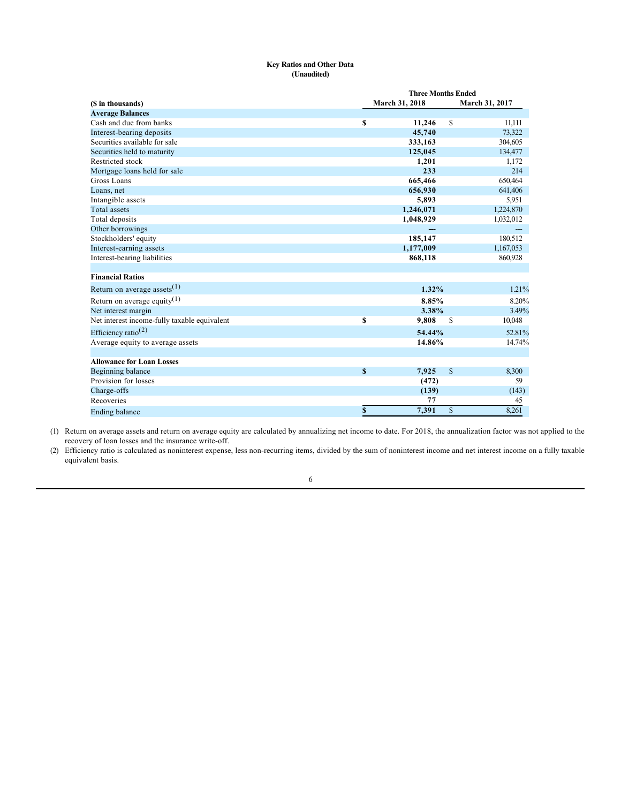## **Key Ratios and Other Data (Unaudited)**

|                                              | <b>Three Months Ended</b> |                |
|----------------------------------------------|---------------------------|----------------|
| (\$ in thousands)                            | March 31, 2018            | March 31, 2017 |
| <b>Average Balances</b>                      |                           |                |
| Cash and due from banks                      | \$<br>11,246              | \$<br>11,111   |
| Interest-bearing deposits                    | 45,740                    | 73,322         |
| Securities available for sale                | 333,163                   | 304,605        |
| Securities held to maturity                  | 125,045                   | 134,477        |
| Restricted stock                             | 1,201                     | 1,172          |
| Mortgage loans held for sale                 | 233                       | 214            |
| Gross Loans                                  | 665,466                   | 650,464        |
| Loans, net                                   | 656,930                   | 641,406        |
| Intangible assets                            | 5,893                     | 5,951          |
| <b>Total assets</b>                          | 1,246,071                 | 1,224,870      |
| Total deposits                               | 1,048,929                 | 1,032,012      |
| Other borrowings                             |                           |                |
| Stockholders' equity                         | 185,147                   | 180,512        |
| Interest-earning assets                      | 1,177,009                 | 1,167,053      |
| Interest-bearing liabilities                 | 868,118                   | 860,928        |
| <b>Financial Ratios</b>                      |                           |                |
| Return on average assets $(1)$               | 1.32%                     | 1.21%          |
| Return on average equity <sup>(1)</sup>      | 8.85%                     | 8.20%          |
| Net interest margin                          | 3.38%                     | 3.49%          |
| Net interest income-fully taxable equivalent | \$<br>9,808               | S<br>10,048    |
| Efficiency ratio <sup>(2)</sup>              | 54.44%                    | 52.81%         |
| Average equity to average assets             | 14.86%                    | 14.74%         |
| <b>Allowance for Loan Losses</b>             |                           |                |
| Beginning balance                            | \$<br>7,925               | \$<br>8,300    |
| Provision for losses                         | (472)                     | 59             |
| Charge-offs                                  | (139)                     | (143)          |
| Recoveries                                   | 77                        | 45             |
| <b>Ending balance</b>                        | \$<br>7,391               | \$<br>8,261    |

(1) Return on average assets and return on average equity are calculated by annualizing net income to date. For 2018, the annualization factor was not applied to the recovery of loan losses and the insurance write-off.

(2) Efficiency ratio is calculated as noninterest expense, less non-recurring items, divided by the sum of noninterest income and net interest income on a fully taxable equivalent basis.